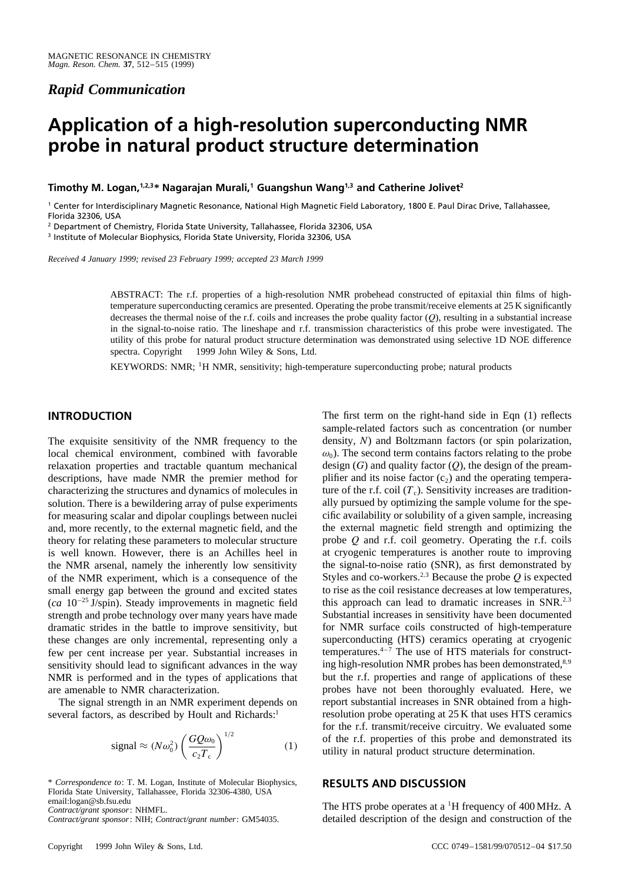## *Rapid Communication*

# **Application of a high-resolution superconducting NMR probe in natural product structure determination**

**Timothy M. Logan,**<sup>1,2,3</sup>\* Nagarajan Murali,<sup>1</sup> Guangshun Wang<sup>1,3</sup> and Catherine Jolivet<sup>2</sup>

<sup>1</sup> Center for Interdisciplinary Magnetic Resonance, National High Magnetic Field Laboratory, 1800 E. Paul Dirac Drive, Tallahassee, Florida 32306, USA

<sup>2</sup> Department of Chemistry, Florida State University, Tallahassee, Florida 32306, USA

<sup>3</sup> Institute of Molecular Biophysics, Florida State University, Florida 32306, USA

*Received 4 January 1999; revised 23 February 1999; accepted 23 March 1999*

ABSTRACT: The r.f. properties of a high-resolution NMR probehead constructed of epitaxial thin films of hightemperature superconducting ceramics are presented. Operating the probe transmit/receive elements at 25 K significantly decreases the thermal noise of the r.f. coils and increases the probe quality factor  $(Q)$ , resulting in a substantial increase in the signal-to-noise ratio. The lineshape and r.f. transmission characteristics of this probe were investigated. The utility of this probe for natural product structure determination was demonstrated using selective 1D NOE difference spectra. Copyright  $\odot$  1999 John Wiley & Sons, Ltd.

KEYWORDS: NMR; <sup>1</sup>H NMR, sensitivity; high-temperature superconducting probe; natural products

## **INTRODUCTION**

The exquisite sensitivity of the NMR frequency to the local chemical environment, combined with favorable relaxation properties and tractable quantum mechanical descriptions, have made NMR the premier method for characterizing the structures and dynamics of molecules in solution. There is a bewildering array of pulse experiments for measuring scalar and dipolar couplings between nuclei and, more recently, to the external magnetic field, and the theory for relating these parameters to molecular structure is well known. However, there is an Achilles heel in the NMR arsenal, namely the inherently low sensitivity of the NMR experiment, which is a consequence of the small energy gap between the ground and excited states  $(ca 10<sup>-25</sup> J/spin). Steady improvements in magnetic field$ strength and probe technology over many years have made dramatic strides in the battle to improve sensitivity, but these changes are only incremental, representing only a few per cent increase per year. Substantial increases in sensitivity should lead to significant advances in the way NMR is performed and in the types of applications that are amenable to NMR characterization.

The signal strength in an NMR experiment depends on several factors, as described by Hoult and Richards:<sup>1</sup>

$$
\text{signal} \approx (N\omega_0^2) \left(\frac{GQ\omega_0}{c_2T_c}\right)^{1/2} \tag{1}
$$

\* *Correspondence to*: T. M. Logan, Institute of Molecular Biophysics, Florida State University, Tallahassee, Florida 32306-4380, USA email:logan@sb.fsu.edu

*Contract/grant sponsor*: NHMFL.

*Contract/grant sponsor*: NIH; *Contract/grant number*: GM54035.

The first term on the right-hand side in Eqn (1) reflects sample-related factors such as concentration (or number density, N) and Boltzmann factors (or spin polarization,  $\omega_0$ ). The second term contains factors relating to the probe design  $(G)$  and quality factor  $(Q)$ , the design of the preamplifier and its noise factor  $(c_2)$  and the operating temperature of the r.f. coil  $(T_c)$ . Sensitivity increases are traditionally pursued by optimizing the sample volume for the specific availability or solubility of a given sample, increasing the external magnetic field strength and optimizing the probe Q and r.f. coil geometry. Operating the r.f. coils at cryogenic temperatures is another route to improving the signal-to-noise ratio (SNR), as first demonstrated by Styles and co-workers.<sup>2,3</sup> Because the probe  $Q$  is expected to rise as the coil resistance decreases at low temperatures, this approach can lead to dramatic increases in  $SNR^{2,3}$ Substantial increases in sensitivity have been documented for NMR surface coils constructed of high-temperature superconducting (HTS) ceramics operating at cryogenic temperatures. $4-7$  The use of HTS materials for constructing high-resolution NMR probes has been demonstrated,<sup>8,9</sup> but the r.f. properties and range of applications of these probes have not been thoroughly evaluated. Here, we report substantial increases in SNR obtained from a highresolution probe operating at 25 K that uses HTS ceramics for the r.f. transmit/receive circuitry. We evaluated some of the r.f. properties of this probe and demonstrated its utility in natural product structure determination.

### **RESULTS AND DISCUSSION**

The HTS probe operates at a <sup>1</sup>H frequency of 400 MHz. A detailed description of the design and construction of the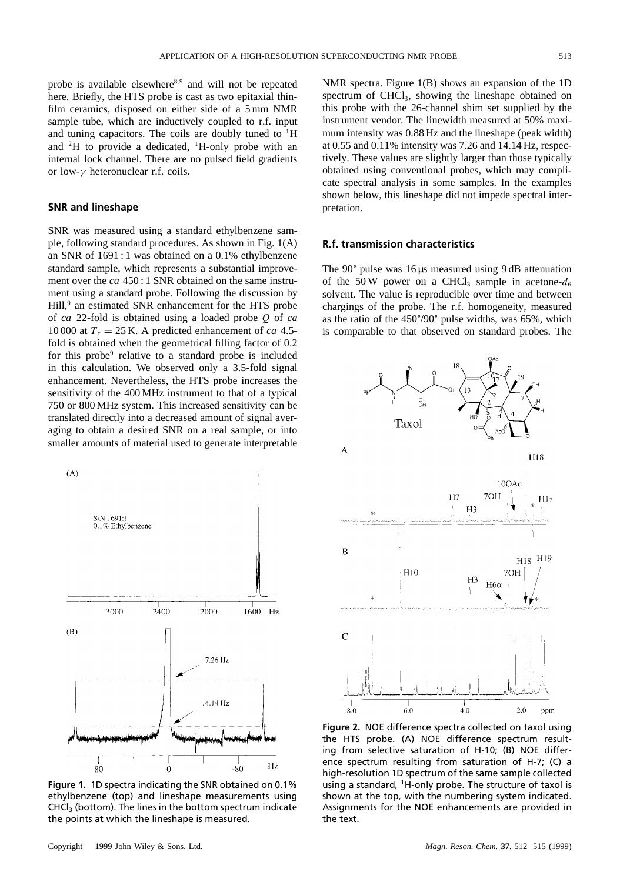probe is available elsewhere<sup>8,9</sup> and will not be repeated here. Briefly, the HTS probe is cast as two epitaxial thinfilm ceramics, disposed on either side of a 5 mm NMR sample tube, which are inductively coupled to r.f. input and tuning capacitors. The coils are doubly tuned to  ${}^{1}$ H and  ${}^{2}H$  to provide a dedicated,  ${}^{1}H$ -only probe with an internal lock channel. There are no pulsed field gradients or low- $\gamma$  heteronuclear r.f. coils.

#### **SNR and lineshape**

SNR was measured using a standard ethylbenzene sample, following standard procedures. As shown in Fig. 1(A) an SNR of 1691 : 1 was obtained on a 0.1% ethylbenzene standard sample, which represents a substantial improvement over the *ca* 450 : 1 SNR obtained on the same instrument using a standard probe. Following the discussion by Hill,<sup>9</sup> an estimated SNR enhancement for the HTS probe of *ca* 22-fold is obtained using a loaded probe Q of *ca* 10 000 at  $T_c = 25$  K. A predicted enhancement of *ca* 4.5fold is obtained when the geometrical filling factor of 0.2 for this probe<sup>9</sup> relative to a standard probe is included in this calculation. We observed only a 3.5-fold signal enhancement. Nevertheless, the HTS probe increases the sensitivity of the 400 MHz instrument to that of a typical 750 or 800 MHz system. This increased sensitivity can be translated directly into a decreased amount of signal averaging to obtain a desired SNR on a real sample, or into smaller amounts of material used to generate interpretable



**Figure 1.** 1D spectra indicating the SNR obtained on 0.1% ethylbenzene (top) and lineshape measurements using  $CHCl<sub>3</sub>$  (bottom). The lines in the bottom spectrum indicate the points at which the lineshape is measured.

NMR spectra. Figure 1(B) shows an expansion of the 1D spectrum of  $CHCl<sub>3</sub>$ , showing the lineshape obtained on this probe with the 26-channel shim set supplied by the instrument vendor. The linewidth measured at 50% maximum intensity was 0.88 Hz and the lineshape (peak width) at 0.55 and 0.11% intensity was 7.26 and 14.14 Hz, respectively. These values are slightly larger than those typically obtained using conventional probes, which may complicate spectral analysis in some samples. In the examples shown below, this lineshape did not impede spectral interpretation.

#### **R.f. transmission characteristics**

The 90° pulse was 16 µs measured using 9 dB attenuation of the 50 W power on a CHCl<sub>3</sub> sample in acetone- $d_6$ solvent. The value is reproducible over time and between chargings of the probe. The r.f. homogeneity, measured as the ratio of the 450°/90° pulse widths, was 65%, which is comparable to that observed on standard probes. The



**Figure 2.** NOE difference spectra collected on taxol using the HTS probe. (A) NOE difference spectrum resulting from selective saturation of H-10; (B) NOE difference spectrum resulting from saturation of H-7; (C) a high-resolution 1D spectrum of the same sample collected using a standard,  $1H$ -only probe. The structure of taxol is shown at the top, with the numbering system indicated. Assignments for the NOE enhancements are provided in the text.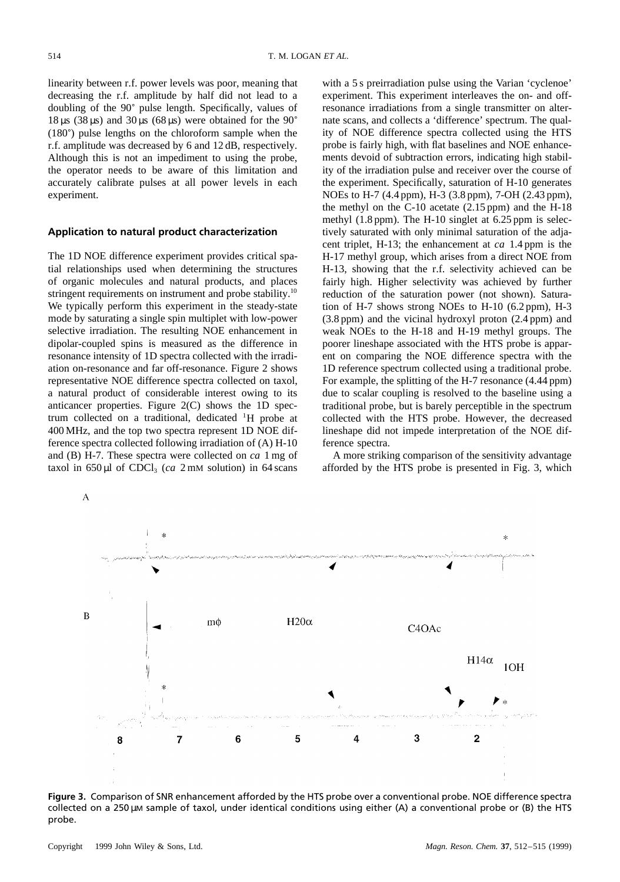linearity between r.f. power levels was poor, meaning that decreasing the r.f. amplitude by half did not lead to a doubling of the 90° pulse length. Specifically, values of  $18 \,\mu s$  (38  $\mu s$ ) and 30  $\mu s$  (68  $\mu s$ ) were obtained for the 90° (180°) pulse lengths on the chloroform sample when the r.f. amplitude was decreased by 6 and 12 dB, respectively. Although this is not an impediment to using the probe, the operator needs to be aware of this limitation and accurately calibrate pulses at all power levels in each experiment.

#### **Application to natural product characterization**

The 1D NOE difference experiment provides critical spatial relationships used when determining the structures of organic molecules and natural products, and places stringent requirements on instrument and probe stability.<sup>10</sup> We typically perform this experiment in the steady-state mode by saturating a single spin multiplet with low-power selective irradiation. The resulting NOE enhancement in dipolar-coupled spins is measured as the difference in resonance intensity of 1D spectra collected with the irradiation on-resonance and far off-resonance. Figure 2 shows representative NOE difference spectra collected on taxol, a natural product of considerable interest owing to its anticancer properties. Figure 2(C) shows the 1D spectrum collected on a traditional, dedicated <sup>1</sup> H probe at 400 MHz, and the top two spectra represent 1D NOE difference spectra collected following irradiation of (A) H-10 and (B) H-7. These spectra were collected on *ca* 1 mg of taxol in  $650 \mu l$  of CDCl<sub>3</sub> (*ca* 2 mM solution) in 64 scans with a 5 s preirradiation pulse using the Varian 'cyclenoe' experiment. This experiment interleaves the on- and offresonance irradiations from a single transmitter on alternate scans, and collects a 'difference' spectrum. The quality of NOE difference spectra collected using the HTS probe is fairly high, with flat baselines and NOE enhancements devoid of subtraction errors, indicating high stability of the irradiation pulse and receiver over the course of the experiment. Specifically, saturation of H-10 generates NOEs to H-7 (4.4 ppm), H-3 (3.8 ppm), 7-OH (2.43 ppm), the methyl on the  $C-10$  acetate  $(2.15$  ppm) and the H-18 methyl (1.8 ppm). The H-10 singlet at 6.25 ppm is selectively saturated with only minimal saturation of the adjacent triplet, H-13; the enhancement at *ca* 1.4 ppm is the H-17 methyl group, which arises from a direct NOE from H-13, showing that the r.f. selectivity achieved can be fairly high. Higher selectivity was achieved by further reduction of the saturation power (not shown). Saturation of H-7 shows strong NOEs to H-10 (6.2 ppm), H-3 (3.8 ppm) and the vicinal hydroxyl proton (2.4 ppm) and weak NOEs to the H-18 and H-19 methyl groups. The poorer lineshape associated with the HTS probe is apparent on comparing the NOE difference spectra with the 1D reference spectrum collected using a traditional probe. For example, the splitting of the H-7 resonance (4.44 ppm) due to scalar coupling is resolved to the baseline using a traditional probe, but is barely perceptible in the spectrum collected with the HTS probe. However, the decreased lineshape did not impede interpretation of the NOE difference spectra.

A more striking comparison of the sensitivity advantage afforded by the HTS probe is presented in Fig. 3, which



**Figure 3.** Comparison of SNR enhancement afforded by the HTS probe over a conventional probe. NOE difference spectra collected on a 250  $\mu$ m sample of taxol, under identical conditions using either (A) a conventional probe or (B) the HTS probe.

A